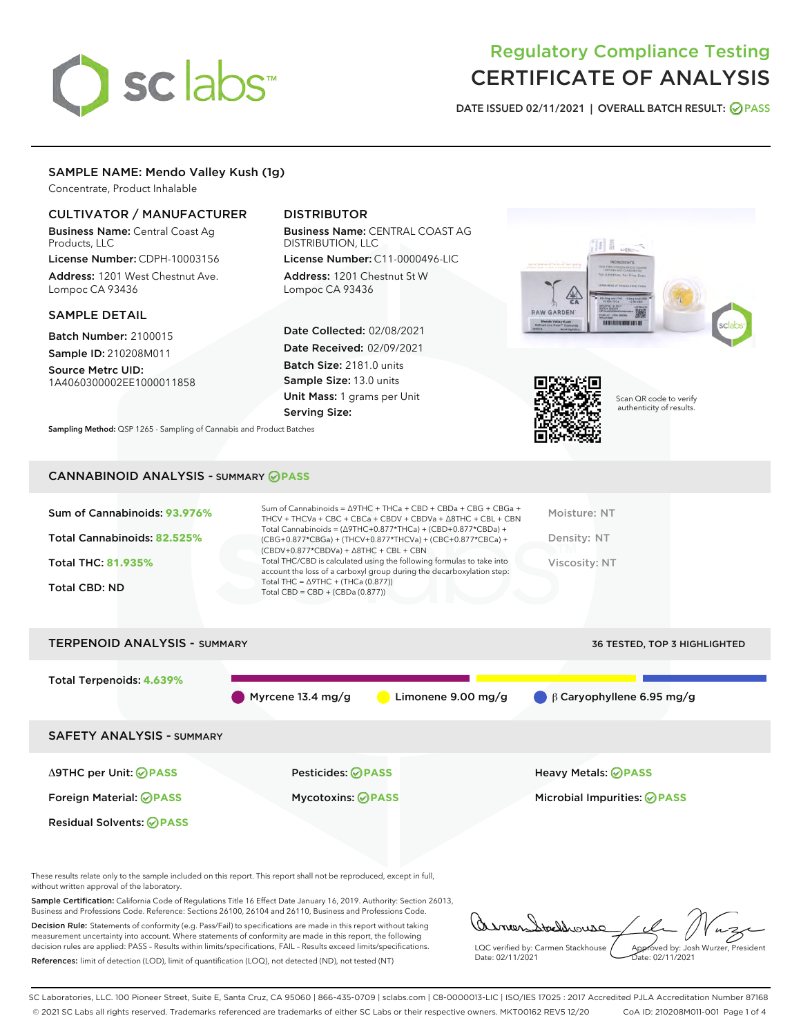# sclabs<sup>\*</sup>

# Regulatory Compliance Testing CERTIFICATE OF ANALYSIS

DATE ISSUED 02/11/2021 | OVERALL BATCH RESULT: @ PASS

# SAMPLE NAME: Mendo Valley Kush (1g)

Concentrate, Product Inhalable

# CULTIVATOR / MANUFACTURER

Business Name: Central Coast Ag Products, LLC

License Number: CDPH-10003156 Address: 1201 West Chestnut Ave. Lompoc CA 93436

#### SAMPLE DETAIL

Batch Number: 2100015 Sample ID: 210208M011

Source Metrc UID: 1A4060300002EE1000011858

# DISTRIBUTOR

Business Name: CENTRAL COAST AG DISTRIBUTION, LLC

License Number: C11-0000496-LIC Address: 1201 Chestnut St W Lompoc CA 93436

Date Collected: 02/08/2021 Date Received: 02/09/2021 Batch Size: 2181.0 units Sample Size: 13.0 units Unit Mass: 1 grams per Unit Serving Size:

Sampling Method: QSP 1265 - Sampling of Cannabis and Product Batches





Scan QR code to verify authenticity of results.

#### CANNABINOID ANALYSIS - SUMMARY **PASS**

| Sum of Cannabinoids: 93.976%<br>Total Cannabinoids: 82.525%<br><b>Total THC: 81.935%</b><br><b>Total CBD: ND</b> | Sum of Cannabinoids = $\triangle$ 9THC + THCa + CBD + CBDa + CBG + CBGa +<br>THCV + THCVa + CBC + CBCa + CBDV + CBDVa + $\triangle$ 8THC + CBL + CBN<br>Total Cannabinoids = $(\Delta$ 9THC+0.877*THCa) + (CBD+0.877*CBDa) +<br>(CBG+0.877*CBGa) + (THCV+0.877*THCVa) + (CBC+0.877*CBCa) +<br>$(CBDV+0.877*CBDVa) + \Delta 8THC + CBL + CBN$<br>Total THC/CBD is calculated using the following formulas to take into<br>account the loss of a carboxyl group during the decarboxylation step:<br>Total THC = $\triangle$ 9THC + (THCa (0.877))<br>Total CBD = $CBD + (CBDa (0.877))$ | Moisture: NT<br>Density: NT<br>Viscosity: NT |
|------------------------------------------------------------------------------------------------------------------|---------------------------------------------------------------------------------------------------------------------------------------------------------------------------------------------------------------------------------------------------------------------------------------------------------------------------------------------------------------------------------------------------------------------------------------------------------------------------------------------------------------------------------------------------------------------------------------|----------------------------------------------|
| <b>TERPENOID ANALYSIS - SUMMARY</b>                                                                              |                                                                                                                                                                                                                                                                                                                                                                                                                                                                                                                                                                                       | <b>36 TESTED. TOP 3 HIGHLIGHTED</b>          |

Total Terpenoids: **4.639%** Myrcene 13.4 mg/g **C** Limonene 9.00 mg/g β Caryophyllene 6.95 mg/g SAFETY ANALYSIS - SUMMARY Δ9THC per Unit: **PASS** Pesticides: **PASS** Heavy Metals: **PASS** Foreign Material: **PASS** Mycotoxins: **PASS** Microbial Impurities: **PASS** Residual Solvents: **PASS** 

These results relate only to the sample included on this report. This report shall not be reproduced, except in full, without written approval of the laboratory.

Sample Certification: California Code of Regulations Title 16 Effect Date January 16, 2019. Authority: Section 26013, Business and Professions Code. Reference: Sections 26100, 26104 and 26110, Business and Professions Code.

Decision Rule: Statements of conformity (e.g. Pass/Fail) to specifications are made in this report without taking measurement uncertainty into account. Where statements of conformity are made in this report, the following decision rules are applied: PASS – Results within limits/specifications, FAIL – Results exceed limits/specifications. References: limit of detection (LOD), limit of quantification (LOQ), not detected (ND), not tested (NT)

addrouse LQC verified by: Carmen Stackhouse Approved by: Josh Wurzer, President Date: 02/11/2021 Date: 02/11/2021

SC Laboratories, LLC. 100 Pioneer Street, Suite E, Santa Cruz, CA 95060 | 866-435-0709 | sclabs.com | C8-0000013-LIC | ISO/IES 17025 : 2017 Accredited PJLA Accreditation Number 87168 © 2021 SC Labs all rights reserved. Trademarks referenced are trademarks of either SC Labs or their respective owners. MKT00162 REV5 12/20 CoA ID: 210208M011-001 Page 1 of 4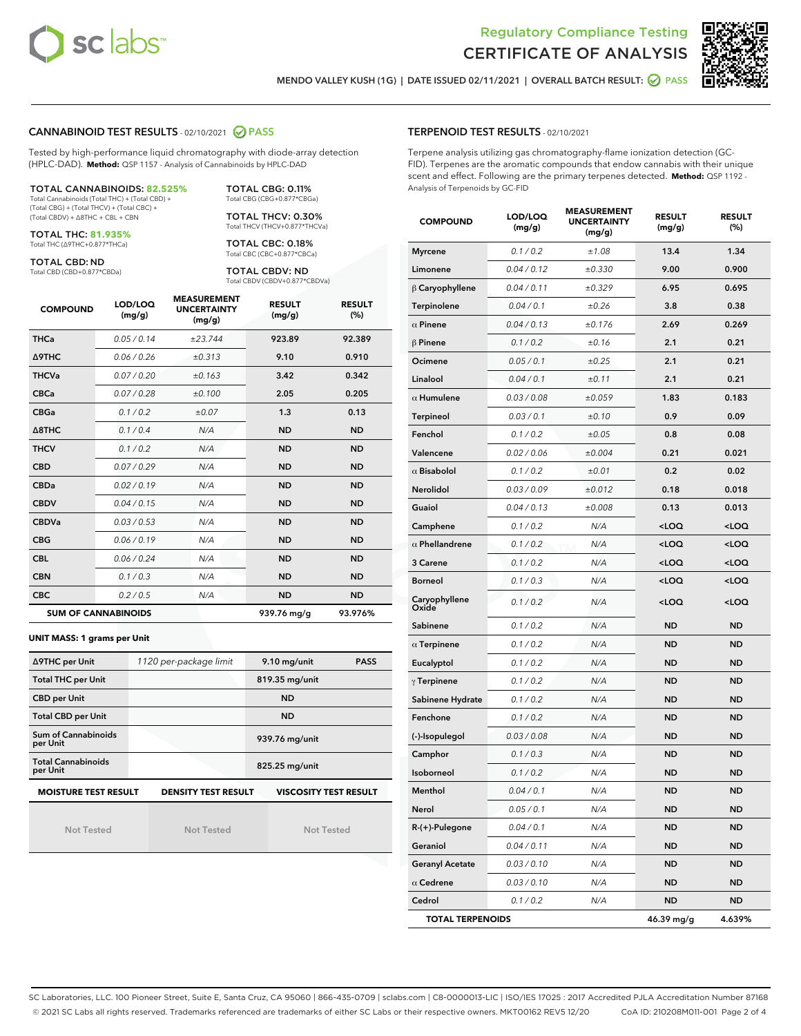



MENDO VALLEY KUSH (1G) | DATE ISSUED 02/11/2021 | OVERALL BATCH RESULT: @ PASS

### CANNABINOID TEST RESULTS - 02/10/2021 2 PASS

Tested by high-performance liquid chromatography with diode-array detection (HPLC-DAD). **Method:** QSP 1157 - Analysis of Cannabinoids by HPLC-DAD

#### TOTAL CANNABINOIDS: **82.525%**

Total Cannabinoids (Total THC) + (Total CBD) + (Total CBG) + (Total THCV) + (Total CBC) + (Total CBDV) + ∆8THC + CBL + CBN

TOTAL THC: **81.935%** Total THC (∆9THC+0.877\*THCa)

TOTAL CBD: ND

Total CBD (CBD+0.877\*CBDa)

TOTAL CBG: 0.11% Total CBG (CBG+0.877\*CBGa)

TOTAL THCV: 0.30% Total THCV (THCV+0.877\*THCVa)

TOTAL CBC: 0.18% Total CBC (CBC+0.877\*CBCa)

TOTAL CBDV: ND Total CBDV (CBDV+0.877\*CBDVa)

| <b>COMPOUND</b>  | LOD/LOQ<br>(mg/g)          | <b>MEASUREMENT</b><br><b>UNCERTAINTY</b><br>(mg/g) | <b>RESULT</b><br>(mg/g) | <b>RESULT</b><br>(%) |
|------------------|----------------------------|----------------------------------------------------|-------------------------|----------------------|
| <b>THCa</b>      | 0.05/0.14                  | ±23.744                                            | 923.89                  | 92.389               |
| <b>A9THC</b>     | 0.06/0.26                  | ±0.313                                             | 9.10                    | 0.910                |
| <b>THCVa</b>     | 0.07/0.20                  | ±0.163                                             | 3.42                    | 0.342                |
| <b>CBCa</b>      | 0.07/0.28                  | ±0.100                                             | 2.05                    | 0.205                |
| <b>CBGa</b>      | 0.1/0.2                    | ±0.07                                              | 1.3                     | 0.13                 |
| $\triangle$ 8THC | 0.1 / 0.4                  | N/A                                                | <b>ND</b>               | <b>ND</b>            |
| <b>THCV</b>      | 0.1/0.2                    | N/A                                                | <b>ND</b>               | <b>ND</b>            |
| <b>CBD</b>       | 0.07/0.29                  | N/A                                                | <b>ND</b>               | <b>ND</b>            |
| <b>CBDa</b>      | 0.02/0.19                  | N/A                                                | <b>ND</b>               | <b>ND</b>            |
| <b>CBDV</b>      | 0.04 / 0.15                | N/A                                                | <b>ND</b>               | <b>ND</b>            |
| <b>CBDVa</b>     | 0.03/0.53                  | N/A                                                | <b>ND</b>               | <b>ND</b>            |
| <b>CBG</b>       | 0.06/0.19                  | N/A                                                | <b>ND</b>               | <b>ND</b>            |
| <b>CBL</b>       | 0.06 / 0.24                | N/A                                                | <b>ND</b>               | <b>ND</b>            |
| <b>CBN</b>       | 0.1/0.3                    | N/A                                                | <b>ND</b>               | <b>ND</b>            |
| <b>CBC</b>       | 0.2 / 0.5                  | N/A                                                | <b>ND</b>               | <b>ND</b>            |
|                  | <b>SUM OF CANNABINOIDS</b> |                                                    | 939.76 mg/g             | 93.976%              |

#### **UNIT MASS: 1 grams per Unit**

| ∆9THC per Unit                                                                            | 1120 per-package limit | 9.10 mg/unit<br><b>PASS</b> |  |  |  |
|-------------------------------------------------------------------------------------------|------------------------|-----------------------------|--|--|--|
| <b>Total THC per Unit</b>                                                                 |                        | 819.35 mg/unit              |  |  |  |
| <b>CBD per Unit</b>                                                                       |                        | <b>ND</b>                   |  |  |  |
| <b>Total CBD per Unit</b>                                                                 |                        | <b>ND</b>                   |  |  |  |
| Sum of Cannabinoids<br>per Unit                                                           |                        | 939.76 mg/unit              |  |  |  |
| <b>Total Cannabinoids</b><br>per Unit                                                     |                        | 825.25 mg/unit              |  |  |  |
| <b>MOISTURE TEST RESULT</b><br><b>VISCOSITY TEST RESULT</b><br><b>DENSITY TEST RESULT</b> |                        |                             |  |  |  |

Not Tested

Not Tested

Not Tested

#### TERPENOID TEST RESULTS - 02/10/2021

Terpene analysis utilizing gas chromatography-flame ionization detection (GC-FID). Terpenes are the aromatic compounds that endow cannabis with their unique scent and effect. Following are the primary terpenes detected. **Method:** QSP 1192 - Analysis of Terpenoids by GC-FID

| <b>COMPOUND</b>         | LOD/LOQ<br>(mg/g) | <b>MEASUREMENT</b><br><b>UNCERTAINTY</b><br>(mg/g) | <b>RESULT</b><br>(mg/g)                         | <b>RESULT</b><br>$(\%)$ |
|-------------------------|-------------------|----------------------------------------------------|-------------------------------------------------|-------------------------|
| <b>Myrcene</b>          | 0.1 / 0.2         | ±1.08                                              | 13.4                                            | 1.34                    |
| Limonene                | 0.04 / 0.12       | ±0.330                                             | 9.00                                            | 0.900                   |
| $\beta$ Caryophyllene   | 0.04 / 0.11       | ±0.329                                             | 6.95                                            | 0.695                   |
| Terpinolene             | 0.04 / 0.1        | ±0.26                                              | 3.8                                             | 0.38                    |
| $\alpha$ Pinene         | 0.04 / 0.13       | ±0.176                                             | 2.69                                            | 0.269                   |
| $\beta$ Pinene          | 0.1 / 0.2         | ±0.16                                              | 2.1                                             | 0.21                    |
| Ocimene                 | 0.05 / 0.1        | ±0.25                                              | 2.1                                             | 0.21                    |
| Linalool                | 0.04 / 0.1        | ±0.11                                              | 2.1                                             | 0.21                    |
| $\alpha$ Humulene       | 0.03 / 0.08       | ±0.059                                             | 1.83                                            | 0.183                   |
| <b>Terpineol</b>        | 0.03 / 0.1        | ±0.10                                              | 0.9                                             | 0.09                    |
| Fenchol                 | 0.1 / 0.2         | ±0.05                                              | 0.8                                             | 0.08                    |
| Valencene               | 0.02 / 0.06       | ±0.004                                             | 0.21                                            | 0.021                   |
| $\alpha$ Bisabolol      | 0.1 / 0.2         | ±0.01                                              | 0.2                                             | 0.02                    |
| Nerolidol               | 0.03/0.09         | ±0.012                                             | 0.18                                            | 0.018                   |
| Guaiol                  | 0.04 / 0.13       | ±0.008                                             | 0.13                                            | 0.013                   |
| Camphene                | 0.1 / 0.2         | N/A                                                | <loq< th=""><th><loq< th=""></loq<></th></loq<> | <loq< th=""></loq<>     |
| $\alpha$ Phellandrene   | 0.1 / 0.2         | N/A                                                | <loq< th=""><th><loq< th=""></loq<></th></loq<> | <loq< th=""></loq<>     |
| 3 Carene                | 0.1 / 0.2         | N/A                                                | <loq< td=""><td><loq< td=""></loq<></td></loq<> | <loq< td=""></loq<>     |
| <b>Borneol</b>          | 0.1 / 0.3         | N/A                                                | <loq< th=""><th><loq< th=""></loq<></th></loq<> | <loq< th=""></loq<>     |
| Caryophyllene<br>Oxide  | 0.1 / 0.2         | N/A                                                | <loq< th=""><th><loq< th=""></loq<></th></loq<> | <loq< th=""></loq<>     |
| Sabinene                | 0.1 / 0.2         | N/A                                                | <b>ND</b>                                       | <b>ND</b>               |
| $\alpha$ Terpinene      | 0.1 / 0.2         | N/A                                                | ND                                              | <b>ND</b>               |
| Eucalyptol              | 0.1 / 0.2         | N/A                                                | <b>ND</b>                                       | <b>ND</b>               |
| $\gamma$ Terpinene      | 0.1 / 0.2         | N/A                                                | ND                                              | <b>ND</b>               |
| Sabinene Hydrate        | 0.1 / 0.2         | N/A                                                | <b>ND</b>                                       | <b>ND</b>               |
| Fenchone                | 0.1 / 0.2         | N/A                                                | <b>ND</b>                                       | <b>ND</b>               |
| (-)-Isopulegol          | 0.03 / 0.08       | N/A                                                | ND                                              | <b>ND</b>               |
| Camphor                 | 0.1 / 0.3         | N/A                                                | ND                                              | <b>ND</b>               |
| Isoborneol              | 0.1 / 0.2         | N/A                                                | <b>ND</b>                                       | <b>ND</b>               |
| Menthol                 | 0.04 / 0.1        | N/A                                                | <b>ND</b>                                       | <b>ND</b>               |
| Nerol                   | 0.05 / 0.1        | N/A                                                | ND                                              | ND                      |
| R-(+)-Pulegone          | 0.04 / 0.1        | N/A                                                | <b>ND</b>                                       | <b>ND</b>               |
| Geraniol                | 0.04 / 0.11       | N/A                                                | ND                                              | ND                      |
| <b>Geranyl Acetate</b>  | 0.03 / 0.10       | N/A                                                | ND                                              | ND                      |
| $\alpha$ Cedrene        | 0.03 / 0.10       | N/A                                                | ND                                              | ND                      |
| Cedrol                  | 0.1 / 0.2         | N/A                                                | <b>ND</b>                                       | ND                      |
| <b>TOTAL TERPENOIDS</b> |                   |                                                    | 46.39 mg/g                                      | 4.639%                  |

SC Laboratories, LLC. 100 Pioneer Street, Suite E, Santa Cruz, CA 95060 | 866-435-0709 | sclabs.com | C8-0000013-LIC | ISO/IES 17025 : 2017 Accredited PJLA Accreditation Number 87168 © 2021 SC Labs all rights reserved. Trademarks referenced are trademarks of either SC Labs or their respective owners. MKT00162 REV5 12/20 CoA ID: 210208M011-001 Page 2 of 4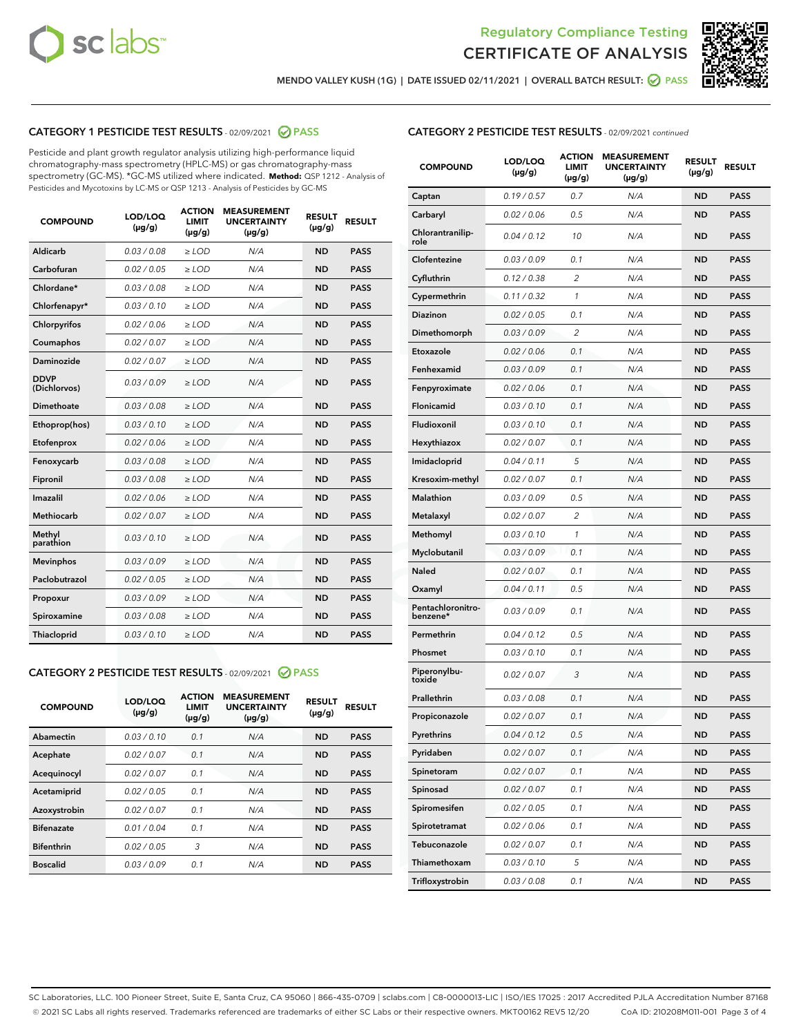



MENDO VALLEY KUSH (1G) | DATE ISSUED 02/11/2021 | OVERALL BATCH RESULT: **⊘** PASS

# CATEGORY 1 PESTICIDE TEST RESULTS - 02/09/2021 2 PASS

Pesticide and plant growth regulator analysis utilizing high-performance liquid chromatography-mass spectrometry (HPLC-MS) or gas chromatography-mass spectrometry (GC-MS). \*GC-MS utilized where indicated. **Method:** QSP 1212 - Analysis of Pesticides and Mycotoxins by LC-MS or QSP 1213 - Analysis of Pesticides by GC-MS

| <b>COMPOUND</b>             | LOD/LOQ<br>$(\mu g/g)$ | <b>ACTION</b><br><b>LIMIT</b><br>$(\mu g/g)$ | <b>MEASUREMENT</b><br><b>UNCERTAINTY</b><br>$(\mu g/g)$ | <b>RESULT</b><br>$(\mu g/g)$ | <b>RESULT</b> |
|-----------------------------|------------------------|----------------------------------------------|---------------------------------------------------------|------------------------------|---------------|
| Aldicarb                    | 0.03 / 0.08            | $\ge$ LOD                                    | N/A                                                     | <b>ND</b>                    | <b>PASS</b>   |
| Carbofuran                  | 0.02 / 0.05            | $\ge$ LOD                                    | N/A                                                     | <b>ND</b>                    | <b>PASS</b>   |
| Chlordane*                  | 0.03 / 0.08            | $\ge$ LOD                                    | N/A                                                     | <b>ND</b>                    | <b>PASS</b>   |
| Chlorfenapyr*               | 0.03/0.10              | $\ge$ LOD                                    | N/A                                                     | <b>ND</b>                    | <b>PASS</b>   |
| Chlorpyrifos                | 0.02 / 0.06            | $\ge$ LOD                                    | N/A                                                     | <b>ND</b>                    | <b>PASS</b>   |
| Coumaphos                   | 0.02 / 0.07            | $\ge$ LOD                                    | N/A                                                     | <b>ND</b>                    | <b>PASS</b>   |
| Daminozide                  | 0.02/0.07              | $\ge$ LOD                                    | N/A                                                     | <b>ND</b>                    | <b>PASS</b>   |
| <b>DDVP</b><br>(Dichlorvos) | 0.03/0.09              | $>$ LOD                                      | N/A                                                     | <b>ND</b>                    | <b>PASS</b>   |
| Dimethoate                  | 0.03 / 0.08            | $\ge$ LOD                                    | N/A                                                     | <b>ND</b>                    | <b>PASS</b>   |
| Ethoprop(hos)               | 0.03/0.10              | $>$ LOD                                      | N/A                                                     | <b>ND</b>                    | <b>PASS</b>   |
| Etofenprox                  | 0.02 / 0.06            | $\ge$ LOD                                    | N/A                                                     | <b>ND</b>                    | <b>PASS</b>   |
| Fenoxycarb                  | 0.03 / 0.08            | $\ge$ LOD                                    | N/A                                                     | <b>ND</b>                    | <b>PASS</b>   |
| Fipronil                    | 0.03/0.08              | $>$ LOD                                      | N/A                                                     | <b>ND</b>                    | <b>PASS</b>   |
| Imazalil                    | 0.02 / 0.06            | $\ge$ LOD                                    | N/A                                                     | <b>ND</b>                    | <b>PASS</b>   |
| Methiocarb                  | 0.02 / 0.07            | $\ge$ LOD                                    | N/A                                                     | <b>ND</b>                    | <b>PASS</b>   |
| Methyl<br>parathion         | 0.03/0.10              | $\ge$ LOD                                    | N/A                                                     | <b>ND</b>                    | <b>PASS</b>   |
| <b>Mevinphos</b>            | 0.03/0.09              | $\ge$ LOD                                    | N/A                                                     | <b>ND</b>                    | <b>PASS</b>   |
| Paclobutrazol               | 0.02 / 0.05            | $\ge$ LOD                                    | N/A                                                     | <b>ND</b>                    | <b>PASS</b>   |
| Propoxur                    | 0.03/0.09              | $\ge$ LOD                                    | N/A                                                     | <b>ND</b>                    | <b>PASS</b>   |
| Spiroxamine                 | 0.03 / 0.08            | $\ge$ LOD                                    | N/A                                                     | <b>ND</b>                    | <b>PASS</b>   |
| Thiacloprid                 | 0.03/0.10              | $\ge$ LOD                                    | N/A                                                     | <b>ND</b>                    | <b>PASS</b>   |

#### CATEGORY 2 PESTICIDE TEST RESULTS - 02/09/2021 @ PASS

| <b>COMPOUND</b>   | LOD/LOQ<br>$(\mu g/g)$ | <b>ACTION</b><br><b>LIMIT</b><br>$(\mu g/g)$ | <b>MEASUREMENT</b><br><b>UNCERTAINTY</b><br>$(\mu g/g)$ | <b>RESULT</b><br>$(\mu g/g)$ | <b>RESULT</b> |
|-------------------|------------------------|----------------------------------------------|---------------------------------------------------------|------------------------------|---------------|
| Abamectin         | 0.03/0.10              | 0.1                                          | N/A                                                     | <b>ND</b>                    | <b>PASS</b>   |
| Acephate          | 0.02/0.07              | 0.1                                          | N/A                                                     | <b>ND</b>                    | <b>PASS</b>   |
| Acequinocyl       | 0.02/0.07              | 0.1                                          | N/A                                                     | <b>ND</b>                    | <b>PASS</b>   |
| Acetamiprid       | 0.02/0.05              | 0.1                                          | N/A                                                     | <b>ND</b>                    | <b>PASS</b>   |
| Azoxystrobin      | 0.02/0.07              | 0.1                                          | N/A                                                     | <b>ND</b>                    | <b>PASS</b>   |
| <b>Bifenazate</b> | 0.01/0.04              | 0.1                                          | N/A                                                     | <b>ND</b>                    | <b>PASS</b>   |
| <b>Bifenthrin</b> | 0.02/0.05              | 3                                            | N/A                                                     | <b>ND</b>                    | <b>PASS</b>   |
| <b>Boscalid</b>   | 0.03/0.09              | 0.1                                          | N/A                                                     | <b>ND</b>                    | <b>PASS</b>   |

| <b>CATEGORY 2 PESTICIDE TEST RESULTS</b> - 02/09/2021 continued |
|-----------------------------------------------------------------|
|-----------------------------------------------------------------|

| <b>COMPOUND</b>               | LOD/LOQ<br>(µg/g) | <b>ACTION</b><br><b>LIMIT</b><br>$(\mu g/g)$ | <b>MEASUREMENT</b><br><b>UNCERTAINTY</b><br>(µg/g) | <b>RESULT</b><br>(µg/g) | <b>RESULT</b> |
|-------------------------------|-------------------|----------------------------------------------|----------------------------------------------------|-------------------------|---------------|
| Captan                        | 0.19/0.57         | 0.7                                          | N/A                                                | <b>ND</b>               | <b>PASS</b>   |
| Carbaryl                      | 0.02 / 0.06       | 0.5                                          | N/A                                                | <b>ND</b>               | <b>PASS</b>   |
| Chlorantranilip-<br>role      | 0.04 / 0.12       | 10                                           | N/A                                                | ND                      | <b>PASS</b>   |
| Clofentezine                  | 0.03 / 0.09       | 0.1                                          | N/A                                                | <b>ND</b>               | <b>PASS</b>   |
| Cyfluthrin                    | 0.12 / 0.38       | $\overline{c}$                               | N/A                                                | <b>ND</b>               | <b>PASS</b>   |
| Cypermethrin                  | 0.11 / 0.32       | 1                                            | N/A                                                | <b>ND</b>               | <b>PASS</b>   |
| Diazinon                      | 0.02 / 0.05       | 0.1                                          | N/A                                                | ND                      | <b>PASS</b>   |
| Dimethomorph                  | 0.03 / 0.09       | 2                                            | N/A                                                | <b>ND</b>               | <b>PASS</b>   |
| Etoxazole                     | 0.02 / 0.06       | 0.1                                          | N/A                                                | <b>ND</b>               | <b>PASS</b>   |
| Fenhexamid                    | 0.03 / 0.09       | 0.1                                          | N/A                                                | <b>ND</b>               | <b>PASS</b>   |
| Fenpyroximate                 | 0.02 / 0.06       | 0.1                                          | N/A                                                | <b>ND</b>               | <b>PASS</b>   |
| Flonicamid                    | 0.03 / 0.10       | 0.1                                          | N/A                                                | <b>ND</b>               | <b>PASS</b>   |
| Fludioxonil                   | 0.03 / 0.10       | 0.1                                          | N/A                                                | ND                      | <b>PASS</b>   |
| Hexythiazox                   | 0.02 / 0.07       | 0.1                                          | N/A                                                | <b>ND</b>               | <b>PASS</b>   |
| Imidacloprid                  | 0.04 / 0.11       | 5                                            | N/A                                                | <b>ND</b>               | <b>PASS</b>   |
| Kresoxim-methyl               | 0.02 / 0.07       | 0.1                                          | N/A                                                | <b>ND</b>               | <b>PASS</b>   |
| Malathion                     | 0.03/0.09         | 0.5                                          | N/A                                                | <b>ND</b>               | <b>PASS</b>   |
| Metalaxyl                     | 0.02 / 0.07       | 2                                            | N/A                                                | <b>ND</b>               | <b>PASS</b>   |
| Methomyl                      | 0.03 / 0.10       | 1                                            | N/A                                                | ND                      | <b>PASS</b>   |
| Myclobutanil                  | 0.03 / 0.09       | 0.1                                          | N/A                                                | <b>ND</b>               | <b>PASS</b>   |
| Naled                         | 0.02 / 0.07       | 0.1                                          | N/A                                                | <b>ND</b>               | <b>PASS</b>   |
| Oxamyl                        | 0.04 / 0.11       | 0.5                                          | N/A                                                | ND                      | <b>PASS</b>   |
| Pentachloronitro-<br>benzene* | 0.03 / 0.09       | 0.1                                          | N/A                                                | <b>ND</b>               | <b>PASS</b>   |
| Permethrin                    | 0.04 / 0.12       | 0.5                                          | N/A                                                | <b>ND</b>               | <b>PASS</b>   |
| Phosmet                       | 0.03 / 0.10       | 0.1                                          | N/A                                                | <b>ND</b>               | <b>PASS</b>   |
| Piperonylbu-<br>toxide        | 0.02 / 0.07       | 3                                            | N/A                                                | <b>ND</b>               | <b>PASS</b>   |
| Prallethrin                   | 0.03 / 0.08       | 0.1                                          | N/A                                                | <b>ND</b>               | <b>PASS</b>   |
| Propiconazole                 | 0.02 / 0.07       | 0.1                                          | N/A                                                | <b>ND</b>               | <b>PASS</b>   |
| Pyrethrins                    | 0.04 / 0.12       | 0.5                                          | N/A                                                | ND                      | PASS          |
| Pyridaben                     | 0.02 / 0.07       | 0.1                                          | N/A                                                | ND                      | PASS          |
| Spinetoram                    | 0.02 / 0.07       | 0.1                                          | N/A                                                | <b>ND</b>               | <b>PASS</b>   |
| Spinosad                      | 0.02 / 0.07       | 0.1                                          | N/A                                                | ND                      | <b>PASS</b>   |
| Spiromesifen                  | 0.02 / 0.05       | 0.1                                          | N/A                                                | <b>ND</b>               | <b>PASS</b>   |
| Spirotetramat                 | 0.02 / 0.06       | 0.1                                          | N/A                                                | <b>ND</b>               | <b>PASS</b>   |
| Tebuconazole                  | 0.02 / 0.07       | 0.1                                          | N/A                                                | ND                      | <b>PASS</b>   |
| Thiamethoxam                  | 0.03 / 0.10       | 5                                            | N/A                                                | <b>ND</b>               | <b>PASS</b>   |
| Trifloxystrobin               | 0.03 / 0.08       | 0.1                                          | N/A                                                | <b>ND</b>               | <b>PASS</b>   |